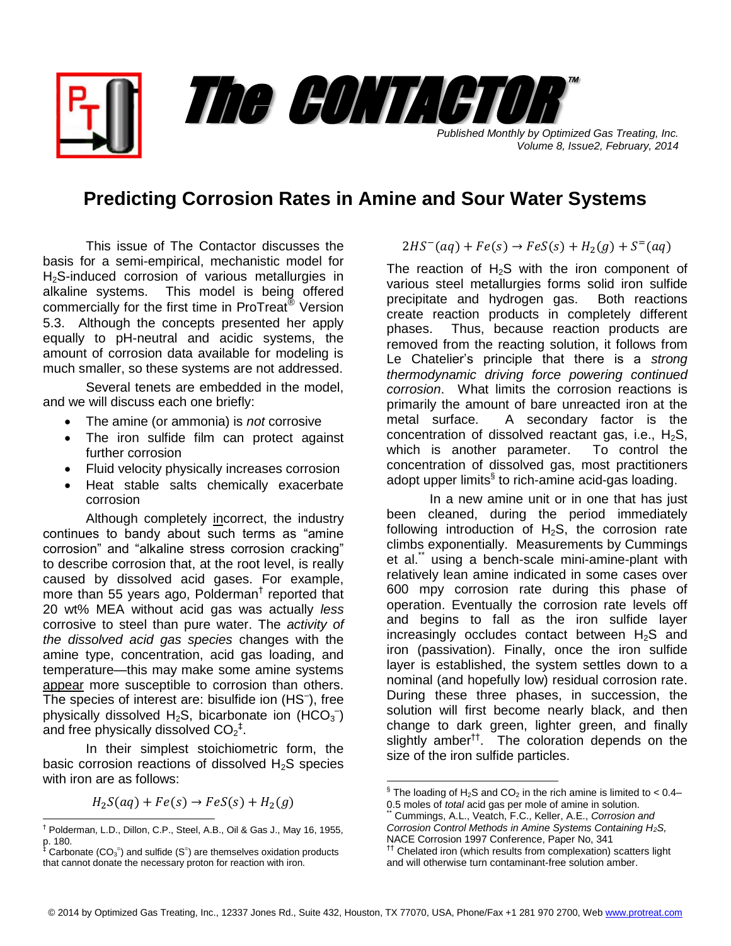*Published Monthly by Optimized Gas Treating, Inc. Volume 8, Issue2, February, 2014*

™

## **Predicting Corrosion Rates in Amine and Sour Water Systems**

The CONTACTOR

This issue of The Contactor discusses the basis for a semi-empirical, mechanistic model for H<sub>2</sub>S-induced corrosion of various metallurgies in alkaline systems. This model is being offered commercially for the first time in ProTreat® Version 5.3. Although the concepts presented her apply equally to pH-neutral and acidic systems, the amount of corrosion data available for modeling is much smaller, so these systems are not addressed.

Several tenets are embedded in the model, and we will discuss each one briefly:

- The amine (or ammonia) is *not* corrosive
- The iron sulfide film can protect against further corrosion
- Fluid velocity physically increases corrosion
- Heat stable salts chemically exacerbate corrosion

Although completely incorrect, the industry continues to bandy about such terms as "amine" corrosion" and "alkaline stress corrosion cracking" to describe corrosion that, at the root level, is really caused by dissolved acid gases. For example, more than 55 years ago, Polderman† reported that 20 wt% MEA without acid gas was actually *less* corrosive to steel than pure water. The *activity of the dissolved acid gas species* changes with the amine type, concentration, acid gas loading, and temperature—this may make some amine systems appear more susceptible to corrosion than others. The species of interest are: bisulfide ion (HS– ), free physically dissolved  $H_2S$ , bicarbonate ion (HCO<sub>3</sub><sup>-</sup>) and free physically dissolved  $CO_2^+$ .

In their simplest stoichiometric form, the basic corrosion reactions of dissolved H2S species with iron are as follows:

 $H_2S(aq) + Fe(s) \rightarrow FeS(s) + H_2(g)$ 

$$
2HS^-(aq) + Fe(s) \rightarrow FeS(s) + H_2(g) + S^=(aq)
$$

The reaction of  $H_2S$  with the iron component of various steel metallurgies forms solid iron sulfide precipitate and hydrogen gas. Both reactions create reaction products in completely different phases. Thus, because reaction products are removed from the reacting solution, it follows from Le Chatelier's principle that there is a *strong thermodynamic driving force powering continued corrosion*. What limits the corrosion reactions is primarily the amount of bare unreacted iron at the metal surface. A secondary factor is the concentration of dissolved reactant gas, i.e.,  $H_2S$ , which is another parameter. To control the concentration of dissolved gas, most practitioners adopt upper limits<sup>§</sup> to rich-amine acid-gas loading.

In a new amine unit or in one that has just been cleaned, during the period immediately following introduction of  $H_2S$ , the corrosion rate climbs exponentially. Measurements by Cummings et al.\*\* using a bench-scale mini-amine-plant with relatively lean amine indicated in some cases over 600 mpy corrosion rate during this phase of operation. Eventually the corrosion rate levels off and begins to fall as the iron sulfide layer increasingly occludes contact between  $H_2S$  and iron (passivation). Finally, once the iron sulfide layer is established, the system settles down to a nominal (and hopefully low) residual corrosion rate. During these three phases, in succession, the solution will first become nearly black, and then change to dark green, lighter green, and finally slightly amber<sup>tt</sup>. The coloration depends on the size of the iron sulfide particles.

 $\overline{\phantom{a}}$ 

 $\overline{\phantom{a}}$ † Polderman, L.D., Dillon, C.P., Steel, A.B., Oil & Gas J., May 16, 1955, p. 180.

 $\text{\textsuperscript{\textsc{i}}}$  Carbonate (CO<sub>3</sub><sup>=</sup>) and sulfide (S<sup>=</sup>) are themselves oxidation products that cannot donate the necessary proton for reaction with iron.

 $\text{\textdegree}$  The loading of H<sub>2</sub>S and CO<sub>2</sub> in the rich amine is limited to < 0.4– 0.5 moles of *total* acid gas per mole of amine in solution.

<sup>\*\*</sup> Cummings, A.L., Veatch, F.C., Keller, A.E., *Corrosion and Corrosion Control Methods in Amine Systems Containing H2S,*  NACE Corrosion 1997 Conference, Paper No, 341 <sup>††</sup> Chelated iron (which results from complexation) scatters light

and will otherwise turn contaminant-free solution amber.